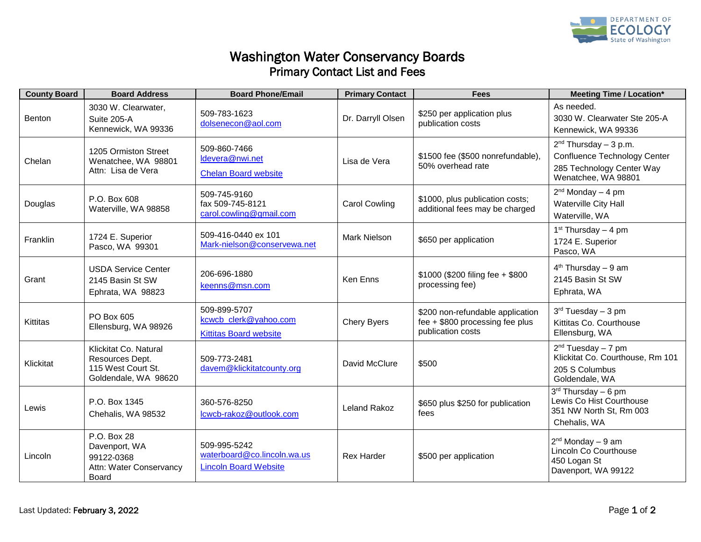

## Washington Water Conservancy Boards Primary Contact List and Fees

| <b>County Board</b> | <b>Board Address</b>                                                                   | <b>Board Phone/Email</b>                                                    | <b>Primary Contact</b> | <b>Fees</b>                                                                              | <b>Meeting Time / Location*</b>                                                                             |
|---------------------|----------------------------------------------------------------------------------------|-----------------------------------------------------------------------------|------------------------|------------------------------------------------------------------------------------------|-------------------------------------------------------------------------------------------------------------|
| Benton              | 3030 W. Clearwater,<br>Suite 205-A<br>Kennewick, WA 99336                              | 509-783-1623<br>dolsenecon@aol.com                                          | Dr. Darryll Olsen      | \$250 per application plus<br>publication costs                                          | As needed.<br>3030 W. Clearwater Ste 205-A<br>Kennewick, WA 99336                                           |
| Chelan              | 1205 Ormiston Street<br>Wenatchee, WA 98801<br>Attn: Lisa de Vera                      | 509-860-7466<br>Idevera@nwi.net<br><b>Chelan Board website</b>              | Lisa de Vera           | \$1500 fee (\$500 nonrefundable),<br>50% overhead rate                                   | $2nd$ Thursday - 3 p.m.<br>Confluence Technology Center<br>285 Technology Center Way<br>Wenatchee, WA 98801 |
| Douglas             | P.O. Box 608<br>Waterville, WA 98858                                                   | 509-745-9160<br>fax 509-745-8121<br>carol.cowling@gmail.com                 | <b>Carol Cowling</b>   | \$1000, plus publication costs;<br>additional fees may be charged                        | $2nd$ Monday $-4$ pm<br>Waterville City Hall<br>Waterville, WA                                              |
| Franklin            | 1724 E. Superior<br>Pasco, WA 99301                                                    | 509-416-0440 ex 101<br>Mark-nielson@conservewa.net                          | <b>Mark Nielson</b>    | \$650 per application                                                                    | $1st$ Thursday - 4 pm<br>1724 E. Superior<br>Pasco, WA                                                      |
| Grant               | <b>USDA Service Center</b><br>2145 Basin St SW<br>Ephrata, WA 98823                    | 206-696-1880<br>keenns@msn.com                                              | Ken Enns               | \$1000 (\$200 filing fee + \$800)<br>processing fee)                                     | $4th$ Thursday - 9 am<br>2145 Basin St SW<br>Ephrata, WA                                                    |
| <b>Kittitas</b>     | PO Box 605<br>Ellensburg, WA 98926                                                     | 509-899-5707<br>kcwcb_clerk@yahoo.com<br><b>Kittitas Board website</b>      | <b>Chery Byers</b>     | \$200 non-refundable application<br>fee + \$800 processing fee plus<br>publication costs | $3rd Tuesday - 3 pm$<br>Kittitas Co. Courthouse<br>Ellensburg, WA                                           |
| Klickitat           | Klickitat Co. Natural<br>Resources Dept.<br>115 West Court St.<br>Goldendale, WA 98620 | 509-773-2481<br>davem@klickitatcounty.org                                   | David McClure          | \$500                                                                                    | 2 <sup>nd</sup> Tuesday – 7 pm<br>Klickitat Co. Courthouse, Rm 101<br>205 S Columbus<br>Goldendale, WA      |
| Lewis               | P.O. Box 1345<br>Chehalis, WA 98532                                                    | 360-576-8250<br>lcwcb-rakoz@outlook.com                                     | Leland Rakoz           | \$650 plus \$250 for publication<br>fees                                                 | $3rd$ Thursday – 6 pm<br>Lewis Co Hist Courthouse<br>351 NW North St, Rm 003<br>Chehalis, WA                |
| Lincoln             | P.O. Box 28<br>Davenport, WA<br>99122-0368<br>Attn: Water Conservancy<br>Board         | 509-995-5242<br>waterboard@co.lincoln.wa.us<br><b>Lincoln Board Website</b> | <b>Rex Harder</b>      | \$500 per application                                                                    | $2nd$ Monday $-9$ am<br>Lincoln Co Courthouse<br>450 Logan St<br>Davenport, WA 99122                        |